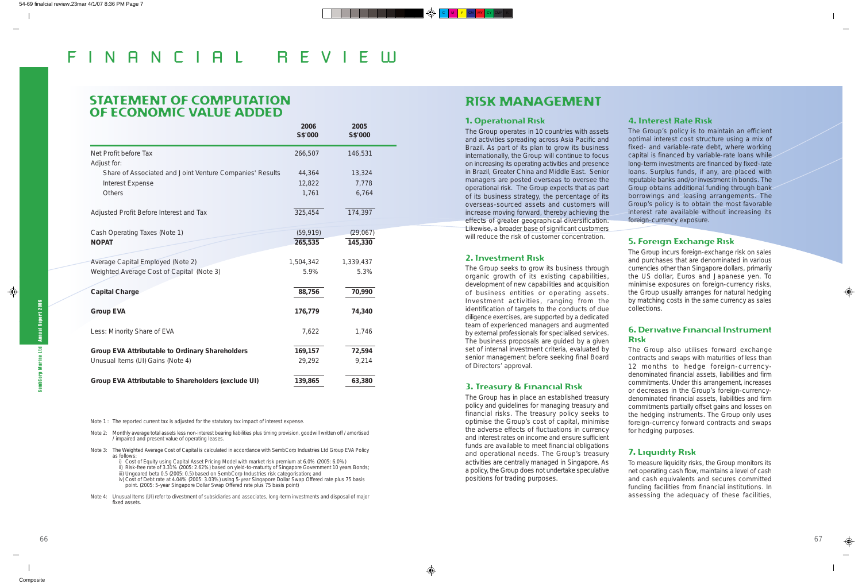# STATEMENT OF COMPUTATION OF ECONOMIC VALUE ADDED

|                                                                                     | 2006<br>S\$'000  | 2005<br>S\$'000 |
|-------------------------------------------------------------------------------------|------------------|-----------------|
| Net Profit before Tax                                                               | 266,507          | 146,531         |
| Adjust for:                                                                         |                  | 13,324          |
| Share of Associated and Joint Venture Companies' Results<br><b>Interest Expense</b> | 44,364<br>12,822 | 7,778           |
| Others                                                                              | 1,761            | 6,764           |
|                                                                                     |                  |                 |
| Adjusted Profit Before Interest and Tax                                             | 325,454          | 174,397         |
| Cash Operating Taxes (Note 1)                                                       | (59, 919)        | (29,067)        |
| <b>NOPAT</b>                                                                        | 265,535          | 145,330         |
| Average Capital Employed (Note 2)                                                   | 1,504,342        | 1,339,437       |
| Weighted Average Cost of Capital (Note 3)                                           | 5.9%             | 5.3%            |
| <b>Capital Charge</b>                                                               | 88,756           | 70,990          |
| <b>Group EVA</b>                                                                    | 176,779          | 74,340          |
| Less: Minority Share of EVA                                                         | 7,622            | 1,746           |
| <b>Group EVA Attributable to Ordinary Shareholders</b>                              | 169,157          | 72,594          |
| Unusual Items (UI) Gains (Note 4)                                                   | 29,292           | 9,214           |
| Group EVA Attributable to Shareholders (exclude UI)                                 | 139,865          | 63,380          |

Note 1: The reported current tax is adjusted for the statutory tax impact of interest expense.

Note 2: Monthly average total assets less non-interest bearing liabilities plus timing provision, goodwill written off / amortised / impaired and present value of operating leases.

- Note 3: The Weighted Average Cost of Capital is calculated in accordance with SembCorp Industries Ltd Group EVA Policy as follows:
	- i) Cost of Equity using Capital Asset Pricing Model with market risk premium at 6.0% (2005: 6.0%)
	- ii) Risk-free rate of 3.31% (2005: 2.62%) based on yield-to-maturity of Singapore Government 10 years Bonds;
	- iii) Ungeared beta 0.5 (2005: 0.5) based on SembCorp Industries risk categorisation; and
	- iv) Cost of Debt rate at 4.04% (2005: 3.03%) using 5-year Singapore Dollar Swap Offered rate plus 75 basis point. (2005: 5-year Singapore Dollar Swap Offered rate plus 75 basis point)
- Note 4: Unusual Items (UI) refer to divestment of subsidiaries and associates, long-term investments and disposal of major fixed assets.

# RISK MANAGEMENT

#### 1. Operational Risk

The Group operates in 10 countries with assets and activities spreading across Asia Pacific and Brazil. As part of its plan to grow its business internationally, the Group will continue to focus on increasing its operating activities and presence in Brazil, Greater China and Middle East. Senior managers are posted overseas to oversee the operational risk. The Group expects that as part of its business strategy, the percentage of its overseas-sourced assets and customers will increase moving forward, thereby achieving the effects of greater geographical diversification. Likewise, a broader base of significant customers will reduce the risk of customer concentration.

#### 2. Investment Risk

embCorp Marine Ltd Annual Report 2006 SembCorp Marine Ltd Annual Report 2006

The Group seeks to grow its business through organic growth of its existing capabilities, development of new capabilities and acquisition of business entities or operating assets. Investment activities, ranging from the identification of targets to the conducts of due diligence exercises, are supported by a dedicated team of experienced managers and augmented by external professionals for specialised services. The business proposals are guided by a given set of internal investment criteria, evaluated by senior management before seeking final Board of Directors' approval.

#### 3. Treasury & Financial Risk

The Group has in place an established treasury policy and guidelines for managing treasury and financial risks. The treasury policy seeks to optimise the Group's cost of capital, minimise the adverse effects of fluctuations in currency and interest rates on income and ensure sufficient funds are available to meet financial obligations and operational needs. The Group's treasury activities are centrally managed in Singapore. As a policy, the Group does not undertake speculative positions for trading purposes.

## 4. Interest Rate Risk

The Group's policy is to maintain an efficient optimal interest cost structure using a mix of fixed- and variable-rate debt, where working capital is financed by variable-rate loans while long-term investments are financed by fixed-rate loans. Surplus funds, if any, are placed with reputable banks and/or investment in bonds. The Group obtains additional funding through bank borrowings and leasing arrangements. The Group's policy is to obtain the most favorable interest rate available without increasing its foreign-currency exposure.

## 5. Foreign Exchange Risk

The Group incurs foreign-exchange risk on sales and purchases that are denominated in various currencies other than Singapore dollars, primarily the US dollar, Euros and Japanese yen. To minimise exposures on foreign-currency risks, the Group usually arranges for natural hedging by matching costs in the same currency as sales collections.

## 6. Derivative Financial Instrument Risk

The Group also utilises forward exchange contracts and swaps with maturities of less than 12 months to hedge foreign-currency-

denominated financial assets, liabilities and firm commitments. Under this arrangement, increases or decreases in the Group's foreign-currencydenominated financial assets, liabilities and firm commitments partially offset gains and losses on the hedging instruments. The Group only uses foreign-currency forward contracts and swaps for hedging purposes.

#### 7. Liquidity Risk

To measure liquidity risks, the Group monitors its net operating cash flow, maintains a level of cash and cash equivalents and secures committed funding facilities from financial institutions. In assessing the adequacy of these facilities,